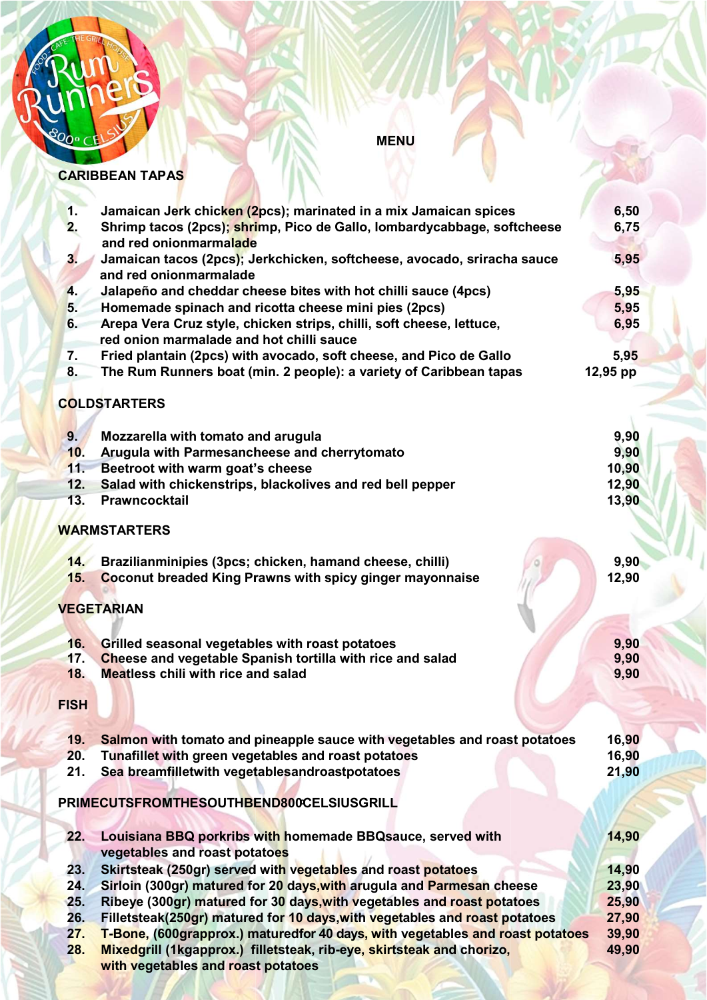

**MENU** 

#### CARIBBEAN TAPAS

| 1.             | Jamaican Jerk chicken (2pcs); marinated in a mix Jamaican spices                | 6,50     |  |  |
|----------------|---------------------------------------------------------------------------------|----------|--|--|
| 2.             | Shrimp tacos (2pcs); shrimp, Pico de Gallo, lombardycabbage, softcheese         |          |  |  |
|                | 6,75<br>and red onionmarmalade                                                  |          |  |  |
| 3 <sub>1</sub> | Jamaican tacos (2pcs); Jerkchicken, softcheese, avocado, sriracha sauce         | 5,95     |  |  |
|                | and red onionmarmalade                                                          |          |  |  |
| 4.             | Jalapeño and cheddar cheese bites with hot chilli sauce (4pcs)                  | 5,95     |  |  |
| 5.             | Homemade spinach and ricotta cheese mini pies (2pcs)                            | 5,95     |  |  |
| 6.             | Arepa Vera Cruz style, chicken strips, chilli, soft cheese, lettuce,            | 6,95     |  |  |
|                | red onion marmalade and hot chilli sauce                                        |          |  |  |
| 7.             | Fried plantain (2pcs) with avocado, soft cheese, and Pico de Gallo              | 5,95     |  |  |
| 8.             | The Rum Runners boat (min. 2 people): a variety of Caribbean tapas              | 12,95 pp |  |  |
|                |                                                                                 |          |  |  |
|                | <b>COLDSTARTERS</b>                                                             |          |  |  |
|                |                                                                                 |          |  |  |
| 9 <sub>1</sub> | Mozzarella with tomato and arugula                                              | 9,90     |  |  |
| 10.            | Arugula with Parmesancheese and cherrytomato                                    | 9,90     |  |  |
| 11.            | Beetroot with warm goat's cheese                                                | 10,90    |  |  |
| 12.            | Salad with chickenstrips, blackolives and red bell pepper                       | 12,90    |  |  |
| 13.            | <b>Prawncocktail</b>                                                            | 13,90    |  |  |
|                |                                                                                 |          |  |  |
|                | <b>WARMSTARTERS</b>                                                             |          |  |  |
|                |                                                                                 |          |  |  |
| 14.            | Brazilianminipies (3pcs; chicken, hamand cheese, chilli)                        | 9,90     |  |  |
| 15.            | <b>Coconut breaded King Prawns with spicy ginger mayonnaise</b>                 | 12,90    |  |  |
|                |                                                                                 |          |  |  |
|                | <b>VEGETARIAN</b>                                                               |          |  |  |
|                |                                                                                 |          |  |  |
| 16.            | Grilled seasonal vegetables with roast potatoes                                 | 9,90     |  |  |
| 17.            | Cheese and vegetable Spanish tortilla with rice and salad                       | 9,90     |  |  |
| 18.            | <b>Meatless chili with rice and salad</b>                                       | 9,90     |  |  |
|                |                                                                                 |          |  |  |
| <b>FISH</b>    |                                                                                 |          |  |  |
|                |                                                                                 |          |  |  |
| 19.            | Salmon with tomato and pineapple sauce with vegetables and roast potatoes       | 16,90    |  |  |
| 20.            | Tunafillet with green vegetables and roast potatoes                             | 16,90    |  |  |
| 21.            | Sea breamfilletwith vegetablesandroastpotatoes                                  | 21,90    |  |  |
|                |                                                                                 |          |  |  |
|                | PRIMECUTSFROMTHESOUTHBEND800CELSIUSGRILL                                        |          |  |  |
|                |                                                                                 |          |  |  |
| 22.            | Louisiana BBQ porkribs with homemade BBQ sauce, served with                     | 14,90    |  |  |
|                | vegetables and roast potatoes                                                   |          |  |  |
| 23.            | Skirtsteak (250gr) served with vegetables and roast potatoes                    | 14,90    |  |  |
| 24.            | Sirloin (300gr) matured for 20 days, with arugula and Parmesan cheese           | 23,90    |  |  |
| 25.            | Ribeye (300gr) matured for 30 days, with vegetables and roast potatoes<br>25,90 |          |  |  |
| 26.            | Filletsteak(250gr) matured for 10 days, with vegetables and roast potatoes      | 27,90    |  |  |
| 27.            | T-Bone, (600grapprox.) maturedfor 40 days, with vegetables and roast potatoes   | 39,90    |  |  |
| 28.            | Mixedgrill (1kgapprox.) filletsteak, rib-eye, skirtsteak and chorizo,           | 49,90    |  |  |
|                | with vegetables and roast potatoes                                              |          |  |  |
|                |                                                                                 |          |  |  |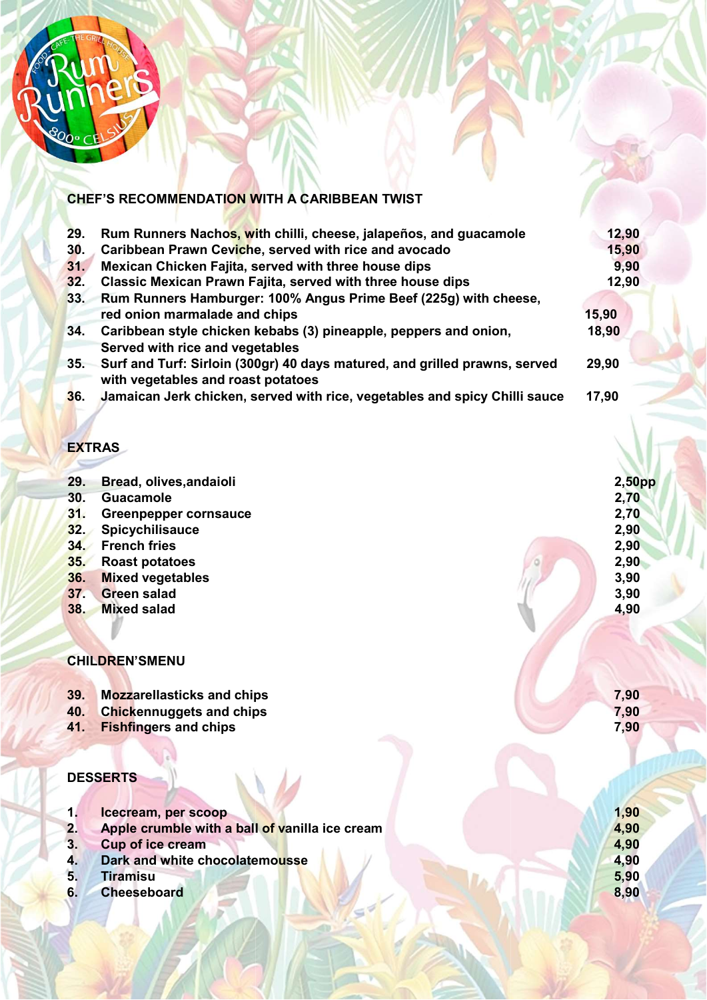

## CHEF'S RECOMMENDATI<mark>ON W</mark>ITH A CARIBBEAN TWIST

| 29. | Rum Runners Nachos, with chilli, cheese, jalapeños, and guacamole          | 12,90                                                                        |  |
|-----|----------------------------------------------------------------------------|------------------------------------------------------------------------------|--|
| 30. | Caribbean Prawn Ceviche, served with rice and avocado                      | 15,90                                                                        |  |
| 31. | Mexican Chicken Fajita, served with three house dips                       | 9.90                                                                         |  |
| 32. | Classic Mexican Prawn Fajita, served with three house dips                 | 12,90                                                                        |  |
| 33. | Rum Runners Hamburger: 100% Angus Prime Beef (225g) with cheese,           |                                                                              |  |
|     | red onion marmalade and chips                                              | 15,90                                                                        |  |
| 34. | Caribbean style chicken kebabs (3) pineapple, peppers and onion,           | 18,90                                                                        |  |
|     | Surf and Turf: Sirloin (300gr) 40 days matured, and grilled prawns, served | 29,90                                                                        |  |
|     |                                                                            |                                                                              |  |
| 36. | Jamaican Jerk chicken, served with rice, vegetables and spicy Chilli sauce | 17,90                                                                        |  |
|     |                                                                            | Served with rice and vegetables<br>35.<br>with vegetables and roast potatoes |  |

### **EXTRAS**

| 29. | Bread, olives, andaioli           | $2,50$ pp |
|-----|-----------------------------------|-----------|
| 30. | <b>Guacamole</b>                  | 2,70      |
| 31. | <b>Greenpepper cornsauce</b>      | 2,70      |
| 32. | Spicychilisauce                   | 2,90      |
| 34. | <b>French fries</b>               | 2,90      |
| 35. | <b>Roast potatoes</b>             | 2,90      |
| 36. | <b>Mixed vegetables</b>           | 3,90      |
| 37. | <b>Green salad</b>                | 3,90      |
| 38. | <b>Mixed salad</b>                | 4,90      |
|     |                                   |           |
|     | <b>CHILDREN'SMENU</b>             |           |
| 39. | <b>Mozzarellasticks and chips</b> | 7,90      |

7,90 7,90

- 39. Mozzarellasticks and chips
- 40. Chickennuggets and chips
- 41. Fishfingers and chips

## **DESSERTS**

- 1. Icecream, per scoop 2. Apple crumble with a ball of vanilla ice cream 3. Cup of ice cream 4. Dark and white chocolate with ice chocolatemousse 5. Tiramisu 1,90 4,90 4,90 4,90 5,90 8,90
- 6. Cheeseboard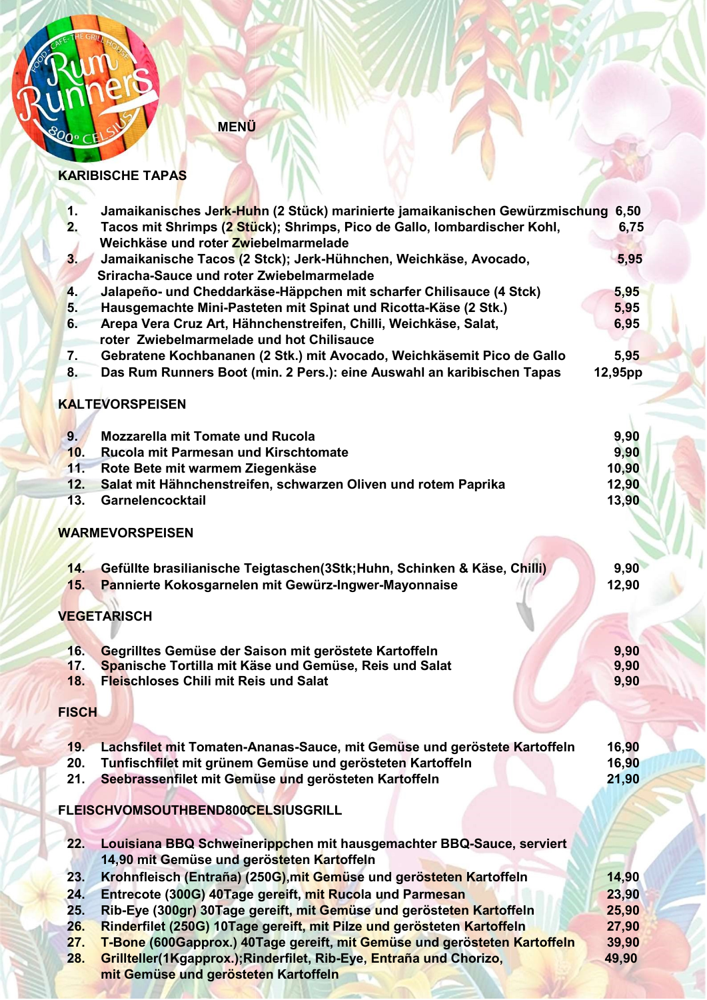

MENÜ

#### KARIBISCHE TAPAS

| 1.             | Jamaikanisches Jerk-Huhn (2 Stück) marinierte jamaikanischen Gewürzmischung 6,50                                                  |         |  |
|----------------|-----------------------------------------------------------------------------------------------------------------------------------|---------|--|
| 2.             | Tacos mit Shrimps (2 Stück); Shrimps, Pico de Gallo, lombardischer Kohl,<br>6,75                                                  |         |  |
|                | Weichkäse und roter Zwiebelmarmelade                                                                                              |         |  |
| 3 <sub>1</sub> | Jamaikanische Tacos (2 Stck); Jerk-Hühnchen, Weichkäse, Avocado,<br>Sriracha-Sauce und roter Zwiebelmarmelade                     | 5,95    |  |
| 4.             | Jalapeño- und Cheddarkäse-Häppchen mit scharfer Chilisauce (4 Stck)                                                               | 5,95    |  |
| 5.             | Hausgemachte Mini-Pasteten mit Spinat und Ricotta-Käse (2 Stk.)                                                                   | 5,95    |  |
| 6.             | Arepa Vera Cruz Art, Hähnchenstreifen, Chilli, Weichkäse, Salat,                                                                  | 6,95    |  |
|                | roter Zwiebelmarmelade und hot Chilisauce                                                                                         |         |  |
| 7.             | Gebratene Kochbananen (2 Stk.) mit Avocado, Weichkäsemit Pico de Gallo                                                            | 5,95    |  |
| 8.             | Das Rum Runners Boot (min. 2 Pers.): eine Auswahl an karibischen Tapas                                                            | 12,95pp |  |
|                | <b>KALTEVORSPEISEN</b>                                                                                                            |         |  |
| 9.             | <b>Mozzarella mit Tomate und Rucola</b>                                                                                           | 9,90    |  |
| 10.            | <b>Rucola mit Parmesan und Kirschtomate</b>                                                                                       | 9,90    |  |
| 11.            | Rote Bete mit warmem Ziegenkäse                                                                                                   | 10,90   |  |
| 12.            | Salat mit Hähnchenstreifen, schwarzen Oliven und rotem Paprika                                                                    | 12,90   |  |
| 13.            | Garnelencocktail                                                                                                                  | 13,90   |  |
|                | <b>WARMEVORSPEISEN</b>                                                                                                            |         |  |
| 14.            |                                                                                                                                   | 9,90    |  |
| 15.            | Gefüllte brasilianische Teigtaschen (3Stk; Huhn, Schinken & Käse, Chilli)<br>Pannierte Kokosgarnelen mit Gewürz-Ingwer-Mayonnaise | 12,90   |  |
|                |                                                                                                                                   |         |  |
|                | <b>VEGETARISCH</b>                                                                                                                |         |  |
|                |                                                                                                                                   |         |  |
| 16.            | Gegrilltes Gemüse der Saison mit geröstete Kartoffeln                                                                             | 9,90    |  |
| 17.            | Spanische Tortilla mit Käse und Gemüse, Reis und Salat                                                                            | 9,90    |  |
| 18.            | <b>Fleischloses Chili mit Reis und Salat</b>                                                                                      | 9,90    |  |
| <b>FISCH</b>   |                                                                                                                                   |         |  |
| 19.            | Lachsfilet mit Tomaten-Ananas-Sauce, mit Gemüse und geröstete Kartoffeln                                                          | 16,90   |  |
| 20.            | Tunfischfilet mit grünem Gemüse und gerösteten Kartoffeln                                                                         | 16,90   |  |
| 21.            | Seebrassenfilet mit Gemüse und gerösteten Kartoffeln                                                                              | 21,90   |  |
|                | FLEISCHVOMSOUTHBEND800CELSIUSGRILL                                                                                                |         |  |
|                |                                                                                                                                   |         |  |
| 22.            | Louisiana BBQ Schweinerippchen mit hausgemachter BBQ-Sauce, serviert<br>14,90 mit Gemüse und gerösteten Kartoffeln                |         |  |
| 23.            | Krohnfleisch (Entraña) (250G), mit Gemüse und gerösteten Kartoffeln                                                               | 14,90   |  |
| 24.            | Entrecote (300G) 40Tage gereift, mit Rucola und Parmesan                                                                          | 23,90   |  |
| 25.            | Rib-Eye (300gr) 30Tage gereift, mit Gemüse und gerösteten Kartoffeln                                                              | 25,90   |  |
| 26.            | Rinderfilet (250G) 10Tage gereift, mit Pilze und gerösteten Kartoffeln                                                            | 27,90   |  |
| 27.            | T-Bone (600Gapprox.) 40Tage gereift, mit Gemüse und gerösteten Kartoffeln                                                         | 39,90   |  |
| 28.            | Grillteller(1Kgapprox.); Rinderfilet, Rib-Eye, Entraña und Chorizo,                                                               | 49,90   |  |
|                |                                                                                                                                   |         |  |

mit Gemüse und geröstete gerösteten Kartoffeln